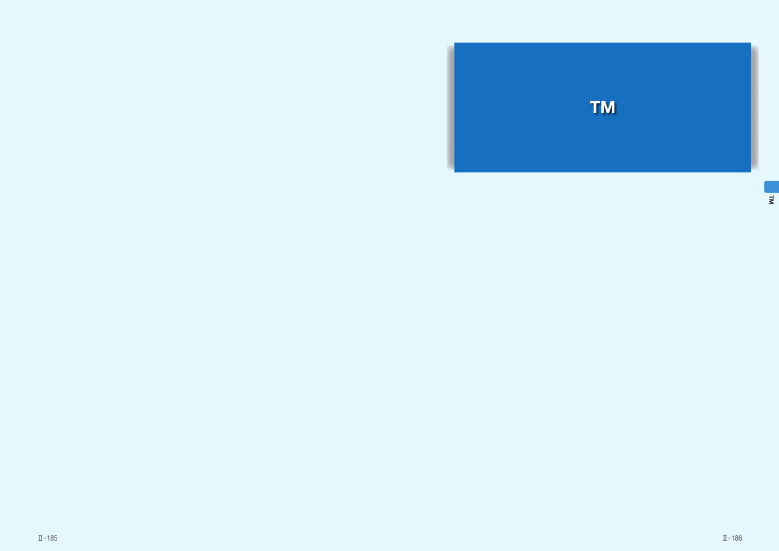

TM<br>TM



Ⅱ̶185 Ⅱ̶186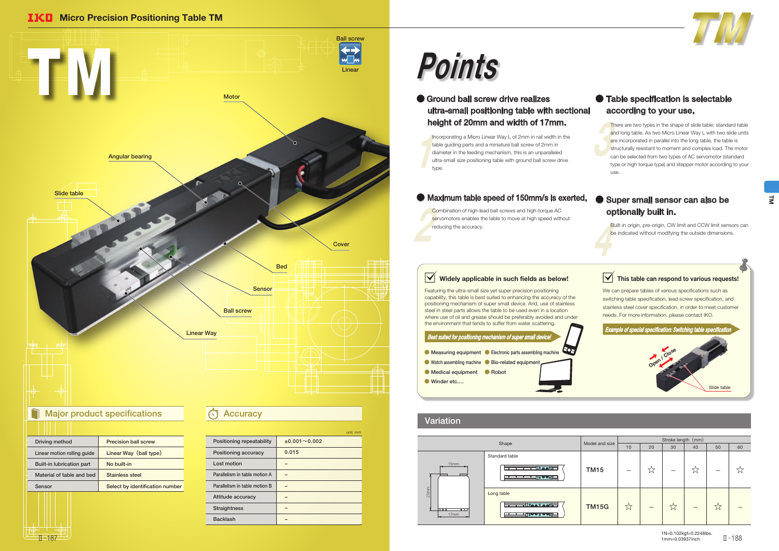| Driving method              | <b>Precision ball screw</b>     |
|-----------------------------|---------------------------------|
| Linear motion rolling quide | Linear Way (ball type)          |
| Built-in lubrication part   | No built-in                     |
| Material of table and bed   | <b>Stainless steel</b>          |
| Sensor                      | Select by identification number |
|                             |                                 |
|                             |                                 |

Featuring the ultra-small size yet super precision positioning capability, this table is best suited to enhancing the accuracy of the positioning mechanism of super small device. And, use of stainless steel in steel parts allows the table to be used even in a location where use of oil and grease should be preferably avoided and under the environment that tends to suffer from water scattering.

 $\begin{array}{c}\n\hline\n\text{tr}\n\\
\text{d}\n\\
\text{u}\n\\
\text{u}\n\end{array}$ Incorporating a Micro Linear Way L of 2mm in rail width in the table guiding parts and a miniature ball screw of 2mm in diameter in the feeding mechanism, this is an unparalleled ultra-small size positioning table with ground ball screw drive type.

College Served Combination of high-lead ball screws and high-torque AC servomotors enables the table to move at high speed without reducing the accuracy.

## $\sqrt{\phantom{a}}$  Widely applicable in such fields as below!

The and are structured to the contract of the contract of the contract of the contract of the contract of the contract of the contract of the contract of the contract of the contract of the contract of the contract of the There are two types in the shape of slide table: standard table and long table. As two Micro Linear Way L with two slide units are incorporated in parallel into the long table, the table is structurally resistant to moment and complex load. The motor can be selected from two types of AC servomotor (standard type or high torque type) and stepper motor according to your use.

> Built-in origin, pre-origin, CW limit and CCW limit sensors can be indicated without modifying the outside dimensions.



|                               | unit: mm            |
|-------------------------------|---------------------|
| Positioning repeatability     | $±0.001 \sim 0.002$ |
| Positioning accuracy          | 0.015               |
| Lost motion                   |                     |
| Parallelism in table motion A |                     |
| Parallelism in table motion B |                     |
| Attitude accuracy             |                     |
| <b>Straightness</b>           |                     |
| <b>Backlash</b>               |                     |
|                               |                     |

### ● Ground ball screw drive realizes ultra-small positioning table with sectional height of 20mm and width of 17mm.

### ● Super small sensor can also be optionally built in.

**IKO** Micro Precision Positioning Table TM



# Points







### Variation

|                                                                     |                | Stroke length (mm) |    |    |    |    |    |
|---------------------------------------------------------------------|----------------|--------------------|----|----|----|----|----|
| Shape                                                               | Model and size | 10                 | 20 | 30 | 40 | 50 | 60 |
| lard table<br>∃∣൦෧෧൦⊫<br><del>∏o ⊗ ⊚o ⊑</del>                       | <b>TM15</b>    |                    | ಸ  |    | ☆  |    |    |
| table<br><del>∍</del> ∐்தை் தை⊙ <del>⊶</del><br><u>ച</u> ⊺ം⊗⊛ം ⊚⊛ം⊑ | <b>TM15G</b>   | ☆                  |    | 77 |    | ☆  |    |

1N=0.102kgf=0.2248lbs. 1mm=0.03937inch  $\overline{\rm H}$  – 187  $^+$   $\overline{\rm M}$  – 188 $^+$  – 0.03937inch  $\overline{\rm H}$  – 188 $\overline{\rm H}$  – 188 $\overline{\rm M}$ 

### ● Table specification is selectable according to your use.

### ● Maximum table speed of 150mm/s is exerted.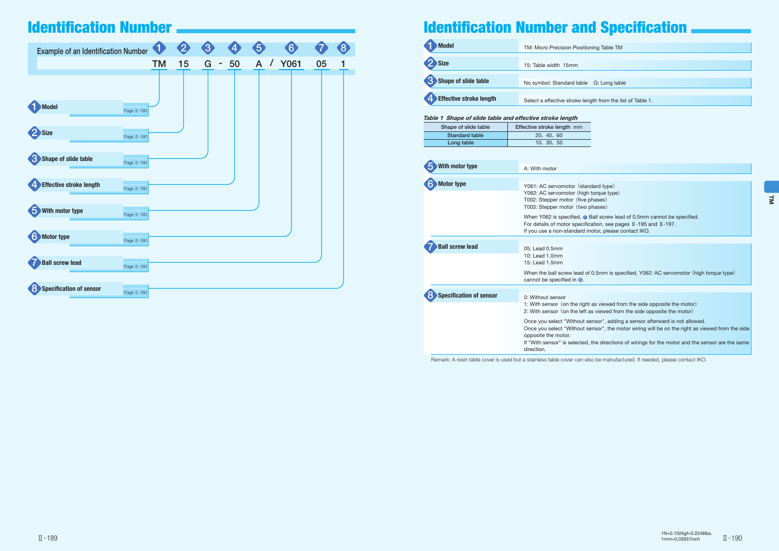| <b>Example of an Identification Number</b>         | 0                      | $\boldsymbol{\mathcal{D}}$ | 3      | 4  | $\overline{5}$  | $\boxed{6}$ |    | 8 |
|----------------------------------------------------|------------------------|----------------------------|--------|----|-----------------|-------------|----|---|
|                                                    | <b>TM</b>              | 15                         | G<br>۰ | 50 | $\sqrt{2}$<br>A | <b>Y061</b> | 05 |   |
|                                                    |                        |                            |        |    |                 |             |    |   |
| Model                                              | Page II-190            |                            |        |    |                 |             |    |   |
| Size                                               | Page II-190            |                            |        |    |                 |             |    |   |
| Shape of slide table                               | .<br>Page II-190       |                            |        |    |                 |             |    |   |
| <b>Effective stroke length</b><br>$\boldsymbol{4}$ | .<br>Page II-190       |                            |        |    |                 |             |    |   |
| With motor type                                    | المتمام<br>Page II-190 |                            |        |    |                 |             |    |   |
| $\mathbf{6}$<br>Motor type                         | ولاولاء<br>Page II-190 |                            |        |    |                 |             |    |   |
| <b>Ball screw lead</b>                             | Page II-190            |                            |        |    |                 |             |    |   |
| Specification of sensor<br>$\mathbf{8}$            | Page II-190            |                            |        |    |                 |             |    |   |

## Identification Number **Internation 2006** and Specification Number and Specification



| <b>Model</b>               | TM: Micro Precision Positioning Table TM     |  |  |
|----------------------------|----------------------------------------------|--|--|
| 2 Size                     | 15: Table width 15mm                         |  |  |
| Shape of slide table       | No symbol: Standard table G: Long tab        |  |  |
| 4. Effective stroke length | Select a effective stroke length from the li |  |  |

| With motor type                | A: With motor                                                                                                                 |
|--------------------------------|-------------------------------------------------------------------------------------------------------------------------------|
|                                |                                                                                                                               |
| <b>Motor type</b>              | Y061: AC servomotor (star<br>Y062: AC servomotor (high<br>T002: Stepper motor (five<br>T003: Stepper motor (two               |
|                                | When Y062 is specified, $\odot$<br>For details of motor specifi<br>If you use a non-standard r                                |
|                                |                                                                                                                               |
| <b>Ball screw lead</b>         | 05: Lead 0.5mm<br>10: Lead 1.0mm<br>15: Lead 1.5mm                                                                            |
|                                | When the ball screw lead o<br>cannot be specified in $\odot$ .                                                                |
|                                |                                                                                                                               |
| <b>Specification of sensor</b> | 0: Without sensor                                                                                                             |
|                                | 1: With sensor (on the righ<br>2: With sensor (on the left                                                                    |
|                                | Once you select "Without s<br>Once you select "Without s<br>opposite the motor.<br>If "With sensor" is selected<br>direction. |

Remark: A resin table cover is used but a stainless table cover can also be manufactured. If needed, please contact IKO.

| oning Table TM |  |
|----------------|--|
|                |  |

G: Long table

### ngth from the list of Table 1.



ndard type) h torque type) phases) phases)

Ball screw lead of 0.5mm cannot be specified.  $F$ fication, see pages  $II - 195$  and  $II - 197$ . motor, please contact IKO.

of 0.5mm is specified, Y062: AC servomotor (high torque type)

ht as viewed from the side opposite the motor) 2: as viewed from the side opposite the motor)

sensor", adding a sensor afterward is not allowed. sensor", the motor wiring will be on the right as viewed from the side

, the directions of wirings for the motor and the sensor are the same

| Table 1 Shape of slide table and effective stroke length |                            |  |  |  |  |
|----------------------------------------------------------|----------------------------|--|--|--|--|
| Shape of slide table                                     | Effective stroke length mm |  |  |  |  |
| <b>Standard table</b>                                    | 20, 40, 60                 |  |  |  |  |
| Long table                                               | 10, 30, 50                 |  |  |  |  |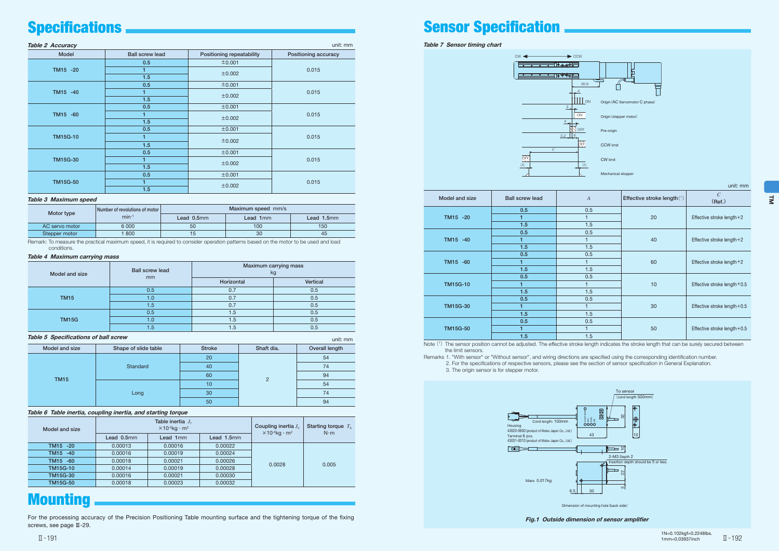Table 7 Sensor timing chart



| unit: mm |  |
|----------|--|
|          |  |

1N=0.102kgf=0.2248lbs. 1mm=0.03937inch Ш−191 — монах в пользовании при возможность пользования в составлении при возможность пользования при возможно<br>П−192

Note (1) The sensor position cannot be adjusted. The effective stroke length indicates the stroke length that can be surely secured between the limit sensors.

| Model and size  | <b>Ball screw lead</b> | $\overline{A}$ | Effective stroke length(1) | $\mathcal{C}_{0}^{(n)}$<br>(Ref.) |  |
|-----------------|------------------------|----------------|----------------------------|-----------------------------------|--|
|                 | 0.5                    | 0.5            |                            | Effective stroke length +2        |  |
| TM15 -20        | 1                      |                | 20                         |                                   |  |
|                 | 1.5                    | 1.5            |                            |                                   |  |
|                 | 0.5                    | 0.5            |                            |                                   |  |
| TM15 -40        | 1                      |                | 40                         | Effective stroke length+2         |  |
|                 | 1.5                    | 1.5            |                            |                                   |  |
|                 | 0.5                    | 0.5            | 60                         | Effective stroke length +2        |  |
| TM15 -60        | 1                      |                |                            |                                   |  |
|                 | 1.5                    | 1.5            |                            |                                   |  |
|                 | 0.5                    | 0.5            |                            | Effective stroke length $+0.5$    |  |
| <b>TM15G-10</b> | 1                      |                | 10                         |                                   |  |
|                 | 1.5                    | 1.5            |                            |                                   |  |
|                 | 0.5                    | 0.5            |                            |                                   |  |
| <b>TM15G-30</b> | 1                      |                | 30                         | Effective stroke length + 0.5     |  |
|                 | 1.5                    | 1.5            |                            |                                   |  |
|                 | 0.5                    | 0.5            |                            |                                   |  |
| <b>TM15G-50</b> | 1                      |                | 50                         | Effective stroke length + 0.5     |  |
|                 | 1.5                    | 1.5            |                            |                                   |  |

Remarks 1. "With sensor" or "Without sensor", and wiring directions are specified using the corresponding identification number. 2. For the specifications of respective sensors, please see the section of sensor specification in General Explanation. 3. The origin sensor is for stepper motor.



Fig.1 Outside dimension of sensor amplifier

| <b>Table 2 Accuracy</b> |                        | unit: mm                  |                      |  |
|-------------------------|------------------------|---------------------------|----------------------|--|
| Model                   | <b>Ball screw lead</b> | Positioning repeatability | Positioning accuracy |  |
|                         | 0.5                    | ±0.001                    |                      |  |
| TM15 -20                |                        | ±0.002                    | 0.015                |  |
|                         | 1.5                    |                           |                      |  |
|                         | 0.5                    | ±0.001                    |                      |  |
| TM15 -40                | 1                      | ±0.002                    | 0.015                |  |
|                         | 1.5                    |                           |                      |  |
|                         | 0.5                    | ±0.001                    |                      |  |
| TM15 -60                | 1.                     | ±0.002                    | 0.015                |  |
|                         | 1.5                    |                           |                      |  |
|                         | 0.5                    | ±0.001                    |                      |  |
| <b>TM15G-10</b>         | 1                      | ±0.002                    | 0.015                |  |
|                         | 1.5                    |                           |                      |  |
|                         | 0.5                    | ±0.001                    |                      |  |
| <b>TM15G-30</b>         | 1.                     | ±0.002                    | 0.015                |  |
|                         | 1.5                    |                           |                      |  |
|                         | 0.5                    | ±0.001                    |                      |  |
| <b>TM15G-50</b>         | 1                      |                           | 0.015                |  |
|                         | 1.5                    | ±0.002                    |                      |  |

### Table 3 Maximum speed

|  | Motor type     | Number of revolutions of motor | Maximum speed mm/s |          |            |  |
|--|----------------|--------------------------------|--------------------|----------|------------|--|
|  |                | $min-1$                        | Lead $0.5$ mm      | Lead 1mm | Lead 1.5mm |  |
|  | AC servo motor | 6 0 0 0                        | 50                 | 100      | 150        |  |
|  | Stepper motor  | 800                            | 15                 | 30       | 45         |  |

Remark: To measure the practical maximum speed, it is required to consider operation patterns based on the motor to be used and load conditions.

### Table 6 Table inertia, coupling inertia, and starting torque

| Model and size  |            | Table inertia $J_{\tau}$<br>$\times$ 10 <sup>-5</sup> kg · m <sup>2</sup> | Coupling inertia $J_c$<br>$\times$ 10- <sup>5</sup> kg · m <sup>2</sup> | Starting torque $T_{\rm s}$<br>$N \cdot m$ |       |
|-----------------|------------|---------------------------------------------------------------------------|-------------------------------------------------------------------------|--------------------------------------------|-------|
|                 | Lead 0.5mm | Lead 1mm                                                                  | Lead 1.5mm                                                              |                                            |       |
| TM15 -20        | 0.00013    | 0.00016                                                                   | 0.00022                                                                 |                                            | 0.005 |
| TM15 -40        | 0.00016    | 0.00019                                                                   | 0.00024                                                                 |                                            |       |
| TM15 -60        | 0.00018    | 0.00021                                                                   | 0.00026                                                                 | 0.0028                                     |       |
| <b>TM15G-10</b> | 0.00014    | 0.00019                                                                   | 0.00028                                                                 |                                            |       |
| <b>TM15G-30</b> | 0.00016    | 0.00021                                                                   | 0.00030                                                                 |                                            |       |
| <b>TM15G-50</b> | 0.00018    | 0.00023                                                                   | 0.00032                                                                 |                                            |       |

## **Mounting**

| Model and size | Shape of slide table | <b>Stroke</b> | Shaft dia. | Overall length |  |  |
|----------------|----------------------|---------------|------------|----------------|--|--|
| <b>TM15</b>    |                      | 20            |            | 54             |  |  |
|                | Standard             | 40            |            | 74             |  |  |
|                |                      | 60            |            | 94             |  |  |
|                |                      | 10            |            | 54             |  |  |
|                | Long                 | 30            |            | 74             |  |  |
|                |                      | 50            |            | 94             |  |  |

### Table 4 Maximum carrying mass

| Model and size | <b>Ball screw lead</b> | Maximum carrying mass<br>kg |          |  |
|----------------|------------------------|-----------------------------|----------|--|
|                | mm                     | Horizontal                  | Vertical |  |
| <b>TM15</b>    | 0.5                    | 0.7                         | 0.5      |  |
|                | 1.0                    | 0.7                         | 0.5      |  |
|                | 1.5                    | 0.7                         | 0.5      |  |
|                | 0.5                    | 1.5                         | 0.5      |  |
| <b>TM15G</b>   | 1.0                    | 1.5                         | 0.5      |  |
|                | 1.5                    | 1.5                         | 0.5      |  |

### Table 5 Specifications of ball screw unit: mm

For the processing accuracy of the Precision Positioning Table mounting surface and the tightening torque of the fixing screws, see page Ⅲ-29.

## Specifications **Sensor Sensor Specification**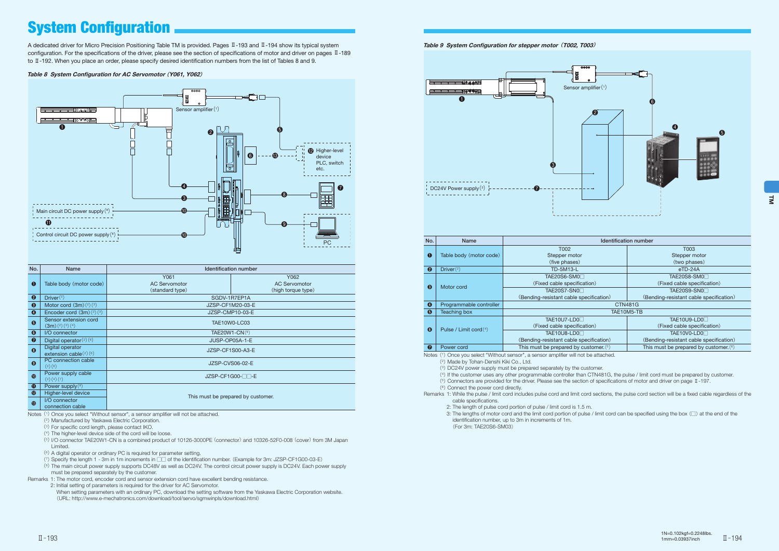A dedicated driver for Micro Precision Positioning Table TM is provided. Pages Ⅱ-193 and Ⅱ-194 show its typical system configuration. For the specifications of the driver, please see the section of specifications of motor and driver on pages Ⅱ-189 to Ⅱ-192. When you place an order, please specify desired identification numbers from the list of Tables 8 and 9.

### Table 8 System Configuration for AC Servomotor (Y061, Y062)



| No.                   | <b>Name</b>                                  | <b>Identification number</b>                    |                                                    |  |  |  |  |
|-----------------------|----------------------------------------------|-------------------------------------------------|----------------------------------------------------|--|--|--|--|
| $\bullet$             | Table body (motor code)                      | Y061<br><b>AC Servomotor</b><br>(standard type) | Y062<br><b>AC Servomotor</b><br>(high torque type) |  |  |  |  |
| $\boldsymbol{\Theta}$ | Driver $(2)$                                 | SGDV-1R7EP1A                                    |                                                    |  |  |  |  |
| $\bullet$             | Motor cord $(3m)(2)(3)$                      | JZSP-CF1M20-03-E                                |                                                    |  |  |  |  |
| $\bullet$             | Encoder cord $(3m)(2)(3)$                    | JZSP-CMP10-03-E                                 |                                                    |  |  |  |  |
| $\mathbf{\Theta}$     | Sensor extension cord<br>(3m)(2)(3)(4)       | TAE10W0-LC03                                    |                                                    |  |  |  |  |
| $\bullet$             | I/O connector                                | TAE20W1-CN(5)                                   |                                                    |  |  |  |  |
| $\bullet$             | Digital operator $(2)(6)$                    | JUSP-OP05A-1-E                                  |                                                    |  |  |  |  |
| $\boldsymbol{\Theta}$ | Digital operator<br>extension cable $(2)(6)$ | JZSP-CF1S00-A3-E                                |                                                    |  |  |  |  |
| $\boldsymbol{\Theta}$ | PC connection cable<br>(2)(6)                | JZSP-CVS06-02-E                                 |                                                    |  |  |  |  |
| $\bullet$             | Power supply cable<br>(2)(4)(7)              | JZSP-CF1G00-NN-E                                |                                                    |  |  |  |  |
| $\bf \Phi$            | Power supply $(^{8})$                        |                                                 |                                                    |  |  |  |  |
| $\circledR$           | Higher-level device                          |                                                 |                                                    |  |  |  |  |
| $\bigcirc$            | I/O connector<br>connection cable            | This must be prepared by customer.              |                                                    |  |  |  |  |

Notes (<sup>1</sup>) Once you select "Without sensor", a sensor amplifier will not be attached.

- (<sup>2</sup>) Manufactured by Yaskawa Electric Corporation.
- (<sup>3</sup>) For specific cord length, please contact IKO.

(<sup>4</sup>) The higher-level device side of the cord will be loose.

(<sup>5</sup>) I/O connector TAE20W1-CN is a combined product of 10126-3000PE (connector) and 10326-52F0-008 (cover) from 3M Japan Limited.

(<sup>6</sup>) A digital operator or ordinary PC is required for parameter setting.

(<sup>7</sup>) Specify the length 1 - 3m in 1m increments in □□ of the identification number. (Example for 3m: JZSP-CF1G00-03-E)

(<sup>8</sup>) The main circuit power supply supports DC48V as well as DC24V. The control circuit power supply is DC24V. Each power supply must be prepared separately by the customer.

Remarks 1: The motor cord, encoder cord and sensor extension cord have excellent bending resistance.

2: Initial setting of parameters is required for the driver for AC Servomotor.

When setting parameters with an ordinary PC, download the setting software from the Yaskawa Electric Corporation website. (URL: http://www.e-mechatronics.com/download/tool/servo/sgmwinpls/download.html)

### Table 9 System Configuration for stepper motor (T002, T003)



| 199119989911119111991 |                                          |  |  |  |  |  |
|-----------------------|------------------------------------------|--|--|--|--|--|
|                       | T003                                     |  |  |  |  |  |
|                       | Stepper motor                            |  |  |  |  |  |
|                       | (two phases)                             |  |  |  |  |  |
|                       | $eTD-24A$                                |  |  |  |  |  |
|                       | TAE20S8-SM0                              |  |  |  |  |  |
| (מכ                   | (Fixed cable specification)              |  |  |  |  |  |
|                       | TAE20S9-SN0□                             |  |  |  |  |  |
| ification)            | (Bending-resistant cable specification)  |  |  |  |  |  |
|                       | <b>CTN481G</b>                           |  |  |  |  |  |
|                       | TAE10M5-TB                               |  |  |  |  |  |
|                       | TAE10U9-LD0                              |  |  |  |  |  |
| (תכ                   | (Fixed cable specification)              |  |  |  |  |  |
|                       | TAE10V0-LD0                              |  |  |  |  |  |
| ification)            | (Bending-resistant cable specification)  |  |  |  |  |  |
| tomer. $(5)$          | This must be prepared by customer. $(6)$ |  |  |  |  |  |
|                       |                                          |  |  |  |  |  |

## System Configuration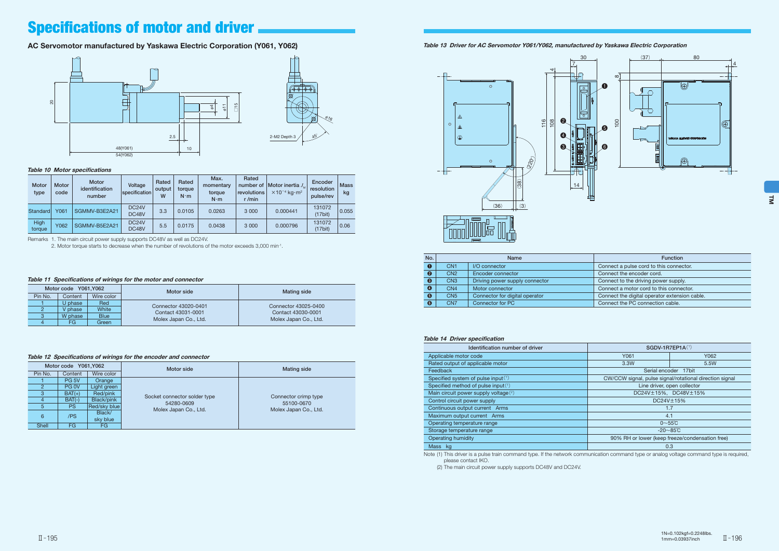

## **Specifications of motor and driver.**

### AC Servomotor manufactured by Yaskawa Electric Corporation (Y061, Y062)

| <b>Motor</b><br>type | Motor<br>code | Motor<br>identification<br>number | Voltage<br>specification    | Rated<br>output<br>W | Rated<br>torque<br>$N \cdot m$ | Max.<br>momentary<br>torque<br>$N \cdot m$ | Rated<br>number of<br>revolutions<br>$r/m$ in | <b>Motor inertia</b> $J_{\scriptscriptstyle{M}}$<br>$\times$ 10 <sup>-4</sup> ka $\cdot$ m <sup>2</sup> | Encoder<br>resolution<br>pulse/rev | <b>Mass</b><br>kg |
|----------------------|---------------|-----------------------------------|-----------------------------|----------------------|--------------------------------|--------------------------------------------|-----------------------------------------------|---------------------------------------------------------------------------------------------------------|------------------------------------|-------------------|
| Standard             | Y061          | SGMMV-B3E2A21                     | DC <sub>24</sub> V<br>DC48V | 3.3                  | 0.0105                         | 0.0263                                     | 3 0 0 0                                       | 0.000441                                                                                                | 131072<br>(17bit)                  | 0.055             |
| High<br>torque       | Y062          | SGMMV-B5E2A21                     | DC <sub>24</sub> V<br>DC48V | 5.5                  | 0.0175                         | 0.0438                                     | 3 0 0 0                                       | 0.000796                                                                                                | 131072<br>(17bit)                  | 0.06              |

 $\mathcal{O}_6$ 

 $\mathbb{A}^{5}$ 



Remarks 1. The main circuit power supply supports DC48V as well as DC24V.

2. Motor torque starts to decrease when the number of revolutions of the motor exceeds 3,000 min-1.

| Motor code Y061, Y062 |         |             | Motor side            | <b>Mating side</b>    |  |
|-----------------------|---------|-------------|-----------------------|-----------------------|--|
| Pin No.               | Content | Wire color  |                       |                       |  |
|                       | U phase | Red         | Connector 43020-0401  | Connector 43025-0400  |  |
|                       | ' phase | White       | Contact 43031-0001    | Contact 43030-0001    |  |
| ت                     | W phase | <b>Blue</b> | Molex Japan Co., Ltd. | Molex Japan Co., Ltd. |  |
| 4                     | FG      | Green       |                       |                       |  |

### Table 11 Specifications of wirings for the motor and connector

| Motor code Y061, Y062 |                  |              | Motor side                   | <b>Mating side</b>                 |  |  |
|-----------------------|------------------|--------------|------------------------------|------------------------------------|--|--|
| Pin No.               | Content          | Wire color   |                              |                                    |  |  |
|                       | PG <sub>5V</sub> | Orange       |                              |                                    |  |  |
| 2                     | PG <sub>OV</sub> | Light green  |                              |                                    |  |  |
| 3                     | $BAT(+)$         | Red/pink     | Socket connector solder type |                                    |  |  |
| Δ                     | $BAT(-)$         | Black/pink   | 54280-0609                   | Connector crimp type<br>55100-0670 |  |  |
| 5                     | <b>PS</b>        | Red/sky blue | Molex Japan Co., Ltd.        | Molex Japan Co., Ltd.              |  |  |
|                       | Black/<br>/PS    |              |                              |                                    |  |  |
| 6                     |                  | sky blue     |                              |                                    |  |  |
| Shell                 | FG               | FG           |                              |                                    |  |  |

Note (1) This driver is a pulse train command type. If the network communication command type or analog voltage command type is required, please contact IKO.

### Table 12 Specifications of wirings for the encoder and connector

| No.                   |                 | <b>Name</b>                    | <b>Function</b>                               |
|-----------------------|-----------------|--------------------------------|-----------------------------------------------|
| $\bullet$             | CN <sub>1</sub> | I/O connector                  | Connect a pulse cord to this connector.       |
| $\boldsymbol{\Theta}$ | CN2             | Encoder connector              | Connect the encoder cord.                     |
| $\bullet$             | CN <sub>3</sub> | Driving power supply connector | Connect to the driving power supply.          |
| $\bullet$             | CN <sub>4</sub> | Motor connector                | Connect a motor cord to this connector.       |
| $\boldsymbol{\Theta}$ | CN <sub>5</sub> | Connector for digital operator | Connect the digital operator extension cable. |
| $\bullet$             | CN <sub>7</sub> | Connector for PC               | Connect the PC connection cable.              |

### Table 14 Driver specification

Table 13 Driver for AC Servomotor Y061/Y062, manufactured by Yaskawa Electric Corporation



| Identification number of driver                                                                                                                                                                                                                                                    | $SGDV-1R7EP1A(1)$                               |                                                         |  |
|------------------------------------------------------------------------------------------------------------------------------------------------------------------------------------------------------------------------------------------------------------------------------------|-------------------------------------------------|---------------------------------------------------------|--|
| Applicable motor code                                                                                                                                                                                                                                                              | Y061                                            | Y062                                                    |  |
| Rated output of applicable motor                                                                                                                                                                                                                                                   | 3.3W                                            | 5.5W                                                    |  |
| Feedback                                                                                                                                                                                                                                                                           |                                                 | Serial encoder 17bit                                    |  |
| Specified system of pulse input $(1)$                                                                                                                                                                                                                                              |                                                 | CW/CCW signal, pulse signal/rotational direction signal |  |
| Specified method of pulse input(1)                                                                                                                                                                                                                                                 |                                                 | Line driver, open collector                             |  |
| Main circuit power supply voltage(2)                                                                                                                                                                                                                                               | DC24V±15%, DC48V±15%                            |                                                         |  |
| Control circuit power supply                                                                                                                                                                                                                                                       | DC24V±15%                                       |                                                         |  |
| Continuous output current Arms                                                                                                                                                                                                                                                     | 1.7                                             |                                                         |  |
| Maximum output current Arms                                                                                                                                                                                                                                                        | 4.1                                             |                                                         |  |
| Operating temperature range                                                                                                                                                                                                                                                        | $0 \sim 55$ °C                                  |                                                         |  |
| Storage temperature range                                                                                                                                                                                                                                                          | $-20 - 85^{\circ}C$                             |                                                         |  |
| <b>Operating humidity</b>                                                                                                                                                                                                                                                          | 90% RH or lower (keep freeze/condensation free) |                                                         |  |
| Mass kg<br>the contract of the contract of the contract of the contract of the contract of the contract of the contract of<br>the company's company's company's<br>the contract of the contract of the contract of the contract of the contract of the contract of the contract of | 0.3                                             |                                                         |  |

(2) The main circuit power supply supports DC48V and DC24V.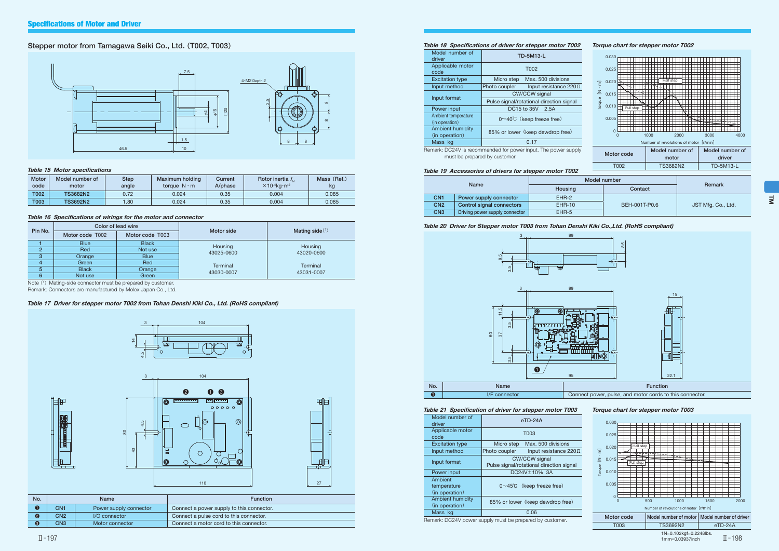### Stepper motor from Tamagawa Seiki Co., Ltd. (T002, T003)

### Table 15 Motor specifications

| <b>Motor</b><br>code | Model number of<br>motor | Step<br>angle | Maximum holding<br>torque $N \cdot m$ | Current<br>A/phase | Rotor inertia $J_{\mu}$<br>$\times$ 10 <sup>-4</sup> ka·m <sup>2</sup> | Mass (Ref.)<br>kg |
|----------------------|--------------------------|---------------|---------------------------------------|--------------------|------------------------------------------------------------------------|-------------------|
| <b>T002</b>          | <b>TS3682N2</b>          | 0.72          | 0.024                                 | 0.35               | 0.004                                                                  | 0.085             |
| <b>T003</b>          | <b>TS3692N2</b>          | .80           | 0.024                                 | 0.35               | 0.004                                                                  | 0.085             |

### Table 16 Specifications of wirings for the motor and connector

| Pin No. |                                    | Color of lead wire | Motor side            |                       |  |  |  |  |
|---------|------------------------------------|--------------------|-----------------------|-----------------------|--|--|--|--|
|         | Motor code T003<br>Motor code T002 |                    |                       | Mating side $(1)$     |  |  |  |  |
|         | <b>Blue</b>                        | <b>Black</b>       |                       |                       |  |  |  |  |
| ≘       | Red                                | Not use            | Housing<br>43025-0600 | Housing<br>43020-0600 |  |  |  |  |
| 3       | Orange                             | <b>Blue</b>        |                       |                       |  |  |  |  |
|         | Green                              | Red                | <b>Terminal</b>       | <b>Terminal</b>       |  |  |  |  |
| 5       | <b>Black</b>                       | Orange             | 43030-0007            | 43031-0007            |  |  |  |  |
| 6       | Not use                            | Green              |                       |                       |  |  |  |  |

Note (1) Mating-side connector must be prepared by customer.

Remark: Connectors are manufactured by Molex Japan Co., Ltd.

### Table 17 Driver for stepper motor T002 from Tohan Denshi Kiki Co., Ltd. (RoHS compliant)

| No. |                 | <b>Name</b>            | <b>Function</b>                           |  |  |  |  |
|-----|-----------------|------------------------|-------------------------------------------|--|--|--|--|
|     | CN1             | Power supply connector | Connect a power supply to this connector. |  |  |  |  |
|     | CN <sub>2</sub> | I/O connector          | Connect a pulse cord to this connector.   |  |  |  |  |
| ❸   | CN <sub>3</sub> | Motor connector        | Connect a motor cord to this connector.   |  |  |  |  |





中





### Table 18 Specifications of driver for stepper motor T002

| Model number of<br>driver                 | <b>TD-5M13-L</b>                              |  |  |  |  |  |
|-------------------------------------------|-----------------------------------------------|--|--|--|--|--|
| Applicable motor<br>code                  | T002                                          |  |  |  |  |  |
| <b>Excitation type</b>                    | Max, 500 divisions<br>Micro step              |  |  |  |  |  |
| Input method                              | Input resistance $220\Omega$<br>Photo coupler |  |  |  |  |  |
| Input format                              | CW/CCW signal                                 |  |  |  |  |  |
|                                           | Pulse signal/rotational direction signal      |  |  |  |  |  |
| Power input                               | DC15 to 35V 2.5A                              |  |  |  |  |  |
| Ambient temperature                       | $0 \sim 40^{\circ}$ C (keep freeze free)      |  |  |  |  |  |
| (in operation)                            |                                               |  |  |  |  |  |
| <b>Ambient humidity</b><br>(in operation) | 85% or lower (keep dewdrop free)              |  |  |  |  |  |
| Mass kg                                   | 0.17                                          |  |  |  |  |  |



Remark: DC24V is recommended for power input. The power supply must be prepared by customer.

### Table 19 Accessories of drivers for stepper motor T002

|                                | N             |  |  |  |
|--------------------------------|---------------|--|--|--|
|                                | Housing       |  |  |  |
| Power supply connector         | FHR-2         |  |  |  |
| Control signal connectors      | <b>EHR-10</b> |  |  |  |
| Driving power supply connector | $FHR-5$       |  |  |  |
|                                | Name          |  |  |  |





### Table 20 Driver for Stepper motor T003 from Tohan Denshi Kiki Co.,Ltd. (RoHS compliant)



### Table 21 Specification of driver for stepper motor T003

| Model number of<br>driver                 | $eTD-24A$                                                        |  |  |  |  |
|-------------------------------------------|------------------------------------------------------------------|--|--|--|--|
| Applicable motor<br>code                  | T003                                                             |  |  |  |  |
| <b>Excitation type</b>                    | Max, 500 divisions<br>Micro step                                 |  |  |  |  |
| Input method                              | Photo coupler<br>Input resistance $220\Omega$                    |  |  |  |  |
| Input format                              | <b>CW/CCW signal</b><br>Pulse signal/rotational direction signal |  |  |  |  |
| Power input                               | DC24V±10% 3A                                                     |  |  |  |  |
| Ambient<br>temperature<br>(in operation)  | $0 \sim 45^{\circ}$ (keep freeze free)                           |  |  |  |  |
| <b>Ambient humidity</b><br>(in operation) | 85% or lower (keep dewdrop free)                                 |  |  |  |  |
| Mass kg                                   | 0.06                                                             |  |  |  |  |

Remark: DC24V power supply must be prepared by customer.

### Torque chart for stepper motor T003